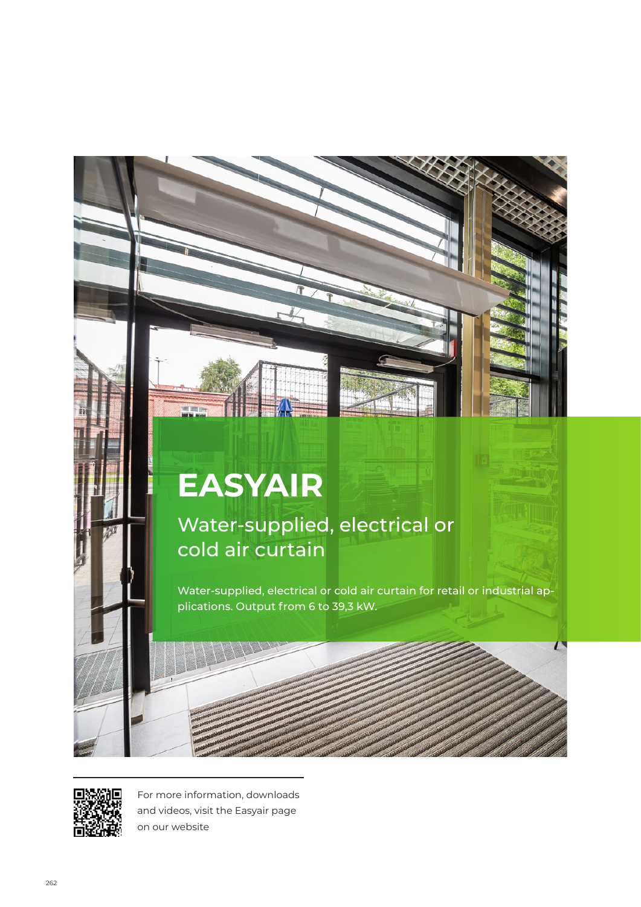# **EASYAIR**

Water-supplied, electrical or cold air curtain

Water-supplied, electrical or cold air curtain for retail or industrial applications. Output from 6 to 39,3 kW.

 $\Gamma$ 



For more information, downloads and videos, visit the Easyair page on our website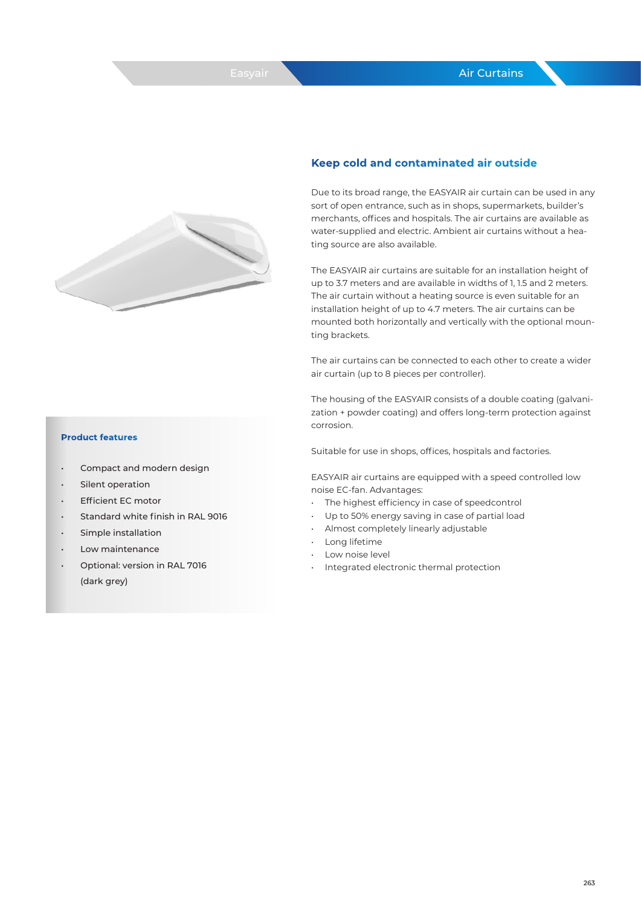

### **Keep cold and contaminated air outside**

Due to its broad range, the EASYAIR air curtain can be used in any sort of open entrance, such as in shops, supermarkets, builder's merchants, offices and hospitals. The air curtains are available as water-supplied and electric. Ambient air curtains without a heating source are also available.

The EASYAIR air curtains are suitable for an installation height of up to 3.7 meters and are available in widths of 1, 1.5 and 2 meters. The air curtain without a heating source is even suitable for an installation height of up to 4.7 meters. The air curtains can be mounted both horizontally and vertically with the optional mounting brackets.

The air curtains can be connected to each other to create a wider air curtain (up to 8 pieces per controller).

The housing of the EASYAIR consists of a double coating (galvanization + powder coating) and offers long-term protection against corrosion.

Suitable for use in shops, offices, hospitals and factories.

EASYAIR air curtains are equipped with a speed controlled low noise EC-fan. Advantages:

- The highest efficiency in case of speedcontrol
- Up to 50% energy saving in case of partial load
- Almost completely linearly adjustable
- Long lifetime
- Low noise level
- Integrated electronic thermal protection

#### **Product features**

- Compact and modern design
- Silent operation
- **Efficient EC motor**
- Standard white finish in RAL 9016
- Simple installation
- Low maintenance
- Optional: version in RAL 7016 (dark grey)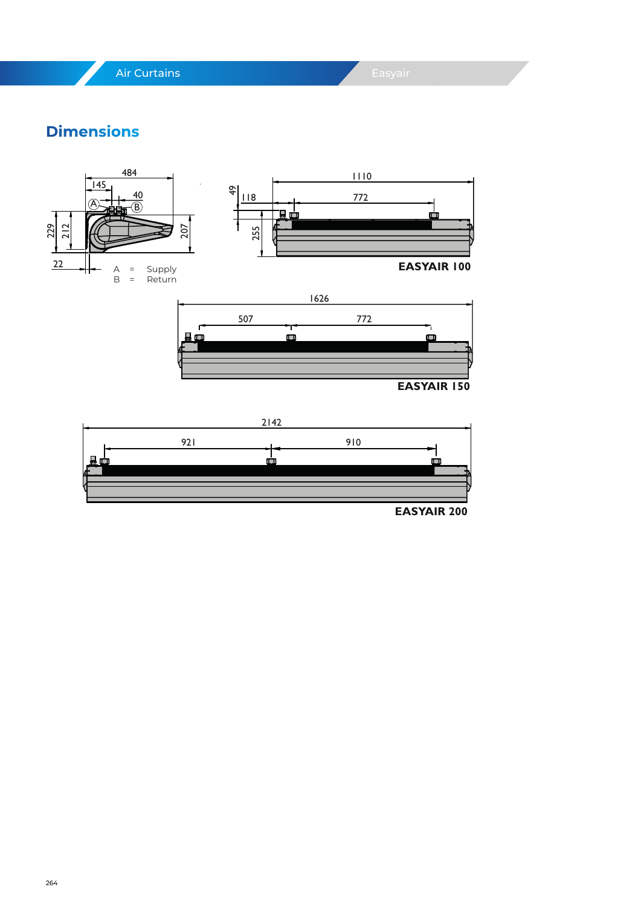Air Curtains

## **Dimensions**





**EASYAIR 200**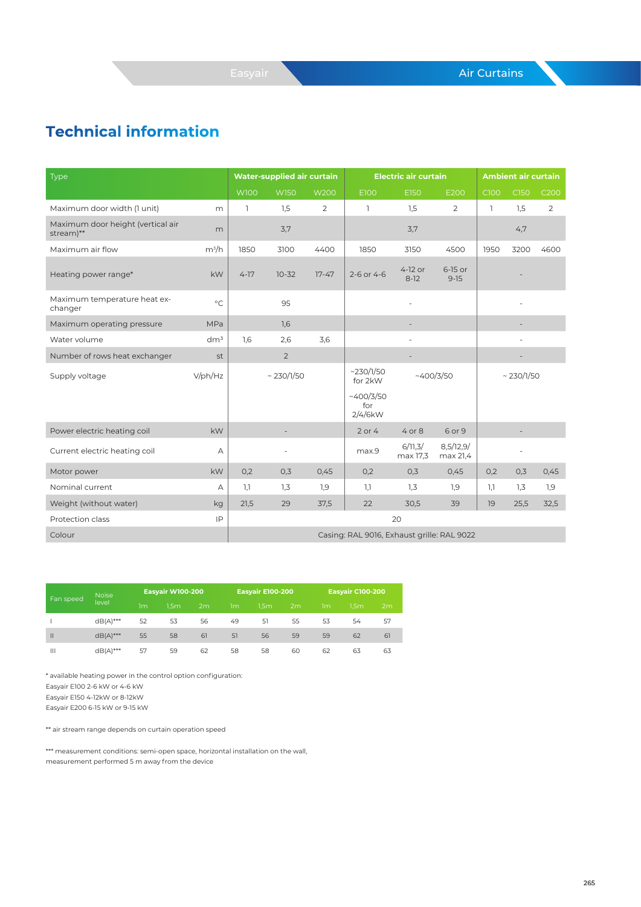## **Technical information**

| Type                                           |                 |                | Water-supplied air curtain |                |                                            | <b>Electric air curtain</b> |                       | <b>Ambient air curtain</b> |                 |                |  |
|------------------------------------------------|-----------------|----------------|----------------------------|----------------|--------------------------------------------|-----------------------------|-----------------------|----------------------------|-----------------|----------------|--|
|                                                |                 | <b>W100</b>    | <b>W150</b>                | <b>W200</b>    | E100                                       | E150                        | E200                  | C100                       | C150            | C200           |  |
| Maximum door width (1 unit)                    | m               | $\overline{1}$ | 1,5                        | $\overline{2}$ | 1                                          | 1,5                         | 2                     | $\overline{\phantom{a}}$   | 1,5             | $\overline{2}$ |  |
| Maximum door height (vertical air<br>stream)** | m               |                | 3,7                        |                |                                            | 3,7                         |                       |                            | 4,7             |                |  |
| Maximum air flow                               | $m^3/h$         | 1850           | 3100                       | 4400           | 1850                                       | 3150                        | 4500                  | 1950                       | 3200            | 4600           |  |
| Heating power range*                           | kW              | $4-17$         | $10 - 32$                  | $17 - 47$      | 2-6 or 4-6                                 | 4-12 or<br>$8-12$           | 6-15 or<br>$9 - 15$   |                            |                 |                |  |
| Maximum temperature heat ex-<br>changer        | $^{\circ}C$     |                | 95                         |                |                                            | ä,                          |                       |                            |                 |                |  |
| Maximum operating pressure                     | MPa             |                | 1,6                        |                |                                            |                             |                       |                            |                 |                |  |
| Water volume                                   | dm <sup>3</sup> | 1.6            | 2,6                        | 3,6            |                                            | ä,                          |                       |                            | i.              |                |  |
| Number of rows heat exchanger                  | st              |                | $\overline{2}$             |                |                                            | ÷                           |                       |                            |                 |                |  |
| Supply voltage                                 | $V$ /ph/Hz      |                | $\sim$ 230/1/50            |                | ~230/1/50<br>for 2kW                       | ~400/3/50                   |                       |                            | $\sim$ 230/1/50 |                |  |
|                                                |                 |                |                            |                | ~1400/3/50<br>for<br>2/4/6kW               |                             |                       |                            |                 |                |  |
| Power electric heating coil                    | kW              |                |                            |                | $2$ or $4$                                 | $4$ or $8$                  | 6 or 9                |                            |                 |                |  |
| Current electric heating coil                  | А               |                |                            |                | max.9                                      | 6/11,3/<br>max 17,3         | 8,5/12,9/<br>max 21,4 |                            |                 |                |  |
| Motor power                                    | kW              | 0,2            | 0,3                        | 0,45           | 0,2                                        | 0,3                         | 0,45                  | 0,2                        | 0,3             | 0,45           |  |
| Nominal current                                | А               | 1,1            | 1,3                        | 1,9            | 1,1                                        | 1,3                         | 1,9                   | 1,1                        | 1,3             | 7,9            |  |
| Weight (without water)                         | kg              | 21,5           | 29                         | 37,5           | 22                                         | 30,5                        | 39                    | 19                         | 25,5            | 32,5           |  |
| Protection class                               | IP              |                |                            |                |                                            | 20                          |                       |                            |                 |                |  |
| Colour                                         |                 |                |                            |                | Casing: RAL 9016, Exhaust grille: RAL 9022 |                             |                       |                            |                 |                |  |

| Fan speed      | <b>Noise</b> |    | <b>Easyair W100-200</b> |    |    | <b>Easyair E100-200</b> |    | <b>Easyair C100-200</b> |                  |    |  |
|----------------|--------------|----|-------------------------|----|----|-------------------------|----|-------------------------|------------------|----|--|
|                | level        | 1m | 1.5 <sub>m</sub>        | 2m | 1m | 1.5 <sub>m</sub>        | 2m | 1m                      | 1.5 <sub>m</sub> | 2m |  |
|                | $dB(A)$ ***  | 52 | 53                      | 56 | 49 | 51                      | 55 | 53                      | 54               | 57 |  |
| $\mathbf{II}$  | $dB(A)$ ***  | 55 | 58                      | 61 | 51 | 56                      | 59 | 59                      | 62               | 61 |  |
| $\mathbf{III}$ | $dB(A)$ ***  | 57 | 59                      | 62 | 58 | 58                      | 60 | 62                      | 63               | 63 |  |

\* available heating power in the control option configuration: Easyair E100 2-6 kW or 4-6 kW Easyair E150 4-12kW or 8-12kW Easyair E200 6-15 kW or 9-15 kW

\*\* air stream range depends on curtain operation speed

\*\*\* measurement conditions: semi-open space, horizontal installation on the wall, measurement performed 5 m away from the device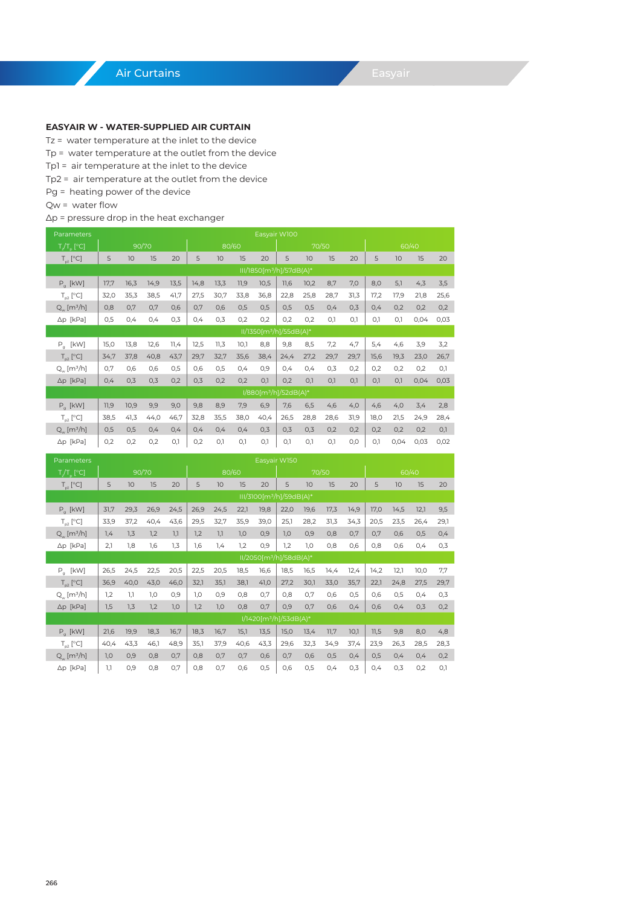#### **EASYAIR W - WATER-SUPPLIED AIR CURTAIN**

Tz = water temperature at the inlet to the device

- Tp = water temperature at the outlet from the device
- Tp1 = air temperature at the inlet to the device
- Tp2 = air temperature at the outlet from the device
- Pg = heating power of the device
- Qw = water flow

#### Δp = pressure drop in the heat exchanger

| Parameters                  |      | Easyair W100 |       |      |      |      |       |                                      |      |      |       |      |      |      |       |      |
|-----------------------------|------|--------------|-------|------|------|------|-------|--------------------------------------|------|------|-------|------|------|------|-------|------|
| $T/T_{\alpha}$ [°C]         |      |              | 90/70 |      |      |      | 80/60 |                                      |      |      | 70/50 |      |      |      | 60/40 |      |
| $T_{nl}$ [°C]               | 5    | 10           | 15    | 20   | 5    | 10   | 15    | 20                                   | 5    | 10   | 15    | 20   | 5    | 10   | 15    | 20   |
|                             |      |              |       |      |      |      |       | III/1850[m <sup>3</sup> /h]/57dB(A)* |      |      |       |      |      |      |       |      |
| $P_a$ [kW]                  | 17,7 | 16,3         | 14,9  | 13,5 | 14,8 | 13,3 | 11,9  | 10,5                                 | 11,6 | 10,2 | 8,7   | 7,0  | 8,0  | 5,1  | 4,3   | 3,5  |
| $T_{p2}$ [°C]               | 32,0 | 35,3         | 38,5  | 41,7 | 27,5 | 30,7 | 33,8  | 36,8                                 | 22,8 | 25,8 | 28,7  | 31,3 | 17,2 | 17,9 | 21,8  | 25,6 |
| $Q_{w}$ [m <sup>3</sup> /h] | 0,8  | O,7          | O,7   | 0,6  | 0,7  | 0,6  | 0,5   | 0,5                                  | 0,5  | 0,5  | 0,4   | 0,3  | 0,4  | 0,2  | 0,2   | 0,2  |
| $\Delta p$ [kPa]            | 0,5  | 0,4          | 0,4   | 0,3  | 0,4  | 0,3  | 0,2   | 0,2                                  | 0,2  | 0,2  | O.1   | O,1  | O.1  | O.1  | 0,04  | 0,03 |
|                             |      |              |       |      |      |      |       | II/1350[m <sup>3</sup> /h]/55dB(A)*  |      |      |       |      |      |      |       |      |
| [kW]<br>$P_g$               | 15,0 | 13,8         | 12,6  | 11,4 | 12,5 | 11,3 | 10,1  | 8,8                                  | 9,8  | 8,5  | 7,2   | 4,7  | 5,4  | 4,6  | 3,9   | 3,2  |
| $T_{n2}$ [°C]               | 34,7 | 37,8         | 40,8  | 43,7 | 29,7 | 32,7 | 35,6  | 38,4                                 | 24,4 | 27,2 | 29,7  | 29,7 | 15,6 | 19,3 | 23,0  | 26,7 |
| $Q_w$ [m <sup>3</sup> /h]   | 0,7  | 0,6          | 0,6   | 0,5  | 0,6  | 0,5  | 0,4   | 0,9                                  | 0,4  | 0,4  | 0,3   | 0,2  | 0,2  | 0,2  | 0,2   | O,1  |
| $\Delta p$ [kPa]            | 0,4  | 0,3          | 0,3   | 0,2  | 0,3  | 0,2  | 0,2   | O,1                                  | 0,2  | O.1  | O,1   | O,1  | O.1  | O.1  | 0,04  | 0,03 |
|                             |      |              |       |      |      |      |       | I/880[m <sup>3</sup> /h]/52dB(A)*    |      |      |       |      |      |      |       |      |
| $P_a$ [kW]                  | 11,9 | 10,9         | 9,9   | 9,0  | 9,8  | 8,9  | 7,9   | 6,9                                  | 7,6  | 6,5  | 4,6   | 4,0  | 4,6  | 4,0  | 3,4   | 2,8  |
| $T_{p2}$ [°C]               | 38,5 | 41,3         | 44,0  | 46,7 | 32,8 | 35,5 | 38,0  | 40,4                                 | 26,5 | 28,8 | 28,6  | 31,9 | 18,0 | 21,5 | 24,9  | 28,4 |
| $Q_w$ [m <sup>3</sup> /h]   | 0,5  | 0,5          | 0,4   | 0,4  | 0,4  | 0,4  | 0,4   | 0,3                                  | 0,3  | 0,3  | 0,2   | 0,2  | 0,2  | 0,2  | 0,2   | O,1  |
| ∆p [kPa]                    | 0,2  | 0,2          | 0,2   | O.1  | 0,2  | O.1  | O.1   | O,1                                  | 0,1  | O.1  | O.1   | O, O | O.1  | 0,04 | 0,03  | 0,02 |

| Parameters                     |      | Easyair W150 |       |      |      |      |       |      |                                      |      |      |      |       |      |      |      |
|--------------------------------|------|--------------|-------|------|------|------|-------|------|--------------------------------------|------|------|------|-------|------|------|------|
| $T/T_{n}$ [°C]                 |      |              | 90/70 |      |      |      | 80/60 |      | 70/50                                |      |      |      | 60/40 |      |      |      |
| $T_{nl}$ [°C]                  | 5    | 10           | 15    | 20   | 5    | 10   | 15    | 20   | 5                                    | 10   | 15   | 20   | 5     | 10   | 15   | 20   |
|                                |      |              |       |      |      |      |       |      | III/3100[m <sup>3</sup> /h]/59dB(A)* |      |      |      |       |      |      |      |
| $P_a$ [kW]                     | 31,7 | 29,3         | 26,9  | 24,5 | 26,9 | 24,5 | 22,1  | 19,8 | 22,0                                 | 19,6 | 17,3 | 14,9 | 17,0  | 14,5 | 12,1 | 9,5  |
| $T_{p2}$ [°C]                  | 33,9 | 37,2         | 40,4  | 43,6 | 29,5 | 32,7 | 35,9  | 39,0 | 25,1                                 | 28,2 | 31,3 | 34,3 | 20,5  | 23,5 | 26,4 | 29,1 |
| $Q_{_{W}}$ [m <sup>3</sup> /h] | 1,4  | 1,3          | 1,2   | 1,1  | 1,2  | 1,1  | 1,0   | 0,9  | 1,0                                  | 0,9  | 0,8  | 0,7  | 0,7   | 0,6  | 0,5  | 0,4  |
| $\Delta p$ [kPa]               | 2,1  | 1,8          | 1,6   | 1,3  | 1,6  | 7,4  | 1,2   | 0,9  | 1,2                                  | 1,0  | 0,8  | 0,6  | 0,8   | 0,6  | 0,4  | 0,3  |
|                                |      |              |       |      |      |      |       |      | II/2050[m <sup>3</sup> /h]/58dB(A)*  |      |      |      |       |      |      |      |
| $P_a$ [kW]                     | 26,5 | 24,5         | 22,5  | 20,5 | 22,5 | 20,5 | 18,5  | 16,6 | 18,5                                 | 16,5 | 14,4 | 12,4 | 14,2  | 12,1 | 10,0 | 7,7  |
| $T_{p2}$ [°C]                  | 36,9 | 40,0         | 43,0  | 46,0 | 32,1 | 35,1 | 38,1  | 41,0 | 27,2                                 | 30,1 | 33,0 | 35,7 | 22,1  | 24,8 | 27,5 | 29,7 |
| $Q_w$ [m <sup>3</sup> /h]      | 1,2  | 1.1          | 1,0   | 0,9  | 1,0  | 0,9  | 0,8   | 0,7  | 0,8                                  | 0,7  | 0,6  | 0,5  | 0,6   | 0,5  | 0,4  | 0,3  |
| $\Delta p$ [kPa]               | 1,5  | 1,3          | 1,2   | 1,0  | 1,2  | 1,0  | 0,8   | 0,7  | 0,9                                  | O,7  | 0,6  | 0,4  | 0,6   | 0,4  | 0,3  | 0,2  |
|                                |      |              |       |      |      |      |       |      | I/1420[m <sup>3</sup> /h]/53dB(A)*   |      |      |      |       |      |      |      |
| $P_q$ [kW]                     | 21,6 | 19,9         | 18,3  | 16,7 | 18,3 | 16,7 | 15,1  | 13,5 | 15,0                                 | 13,4 | 11,7 | 10,1 | 11,5  | 9,8  | 8,0  | 4,8  |
| $T_{n2}$ [°C]                  | 40,4 | 43,3         | 46,1  | 48,9 | 35,1 | 37,9 | 40,6  | 43,3 | 29,6                                 | 32,3 | 34,9 | 37,4 | 23,9  | 26,3 | 28,5 | 28,3 |
| $Q_{_{W}}$ [m <sup>3</sup> /h] | 1,0  | 0,9          | 0,8   | 0,7  | 0,8  | 0,7  | 0,7   | 0,6  | 0,7                                  | 0,6  | 0,5  | 0,4  | 0,5   | 0,4  | 0,4  | 0,2  |
| $\Delta p$ [kPa]               | 1,1  | 0,9          | 0,8   | 0,7  | 0,8  | 0,7  | 0,6   | 0,5  | 0,6                                  | 0,5  | 0,4  | 0,3  | 0,4   | 0,3  | 0,2  | O,1  |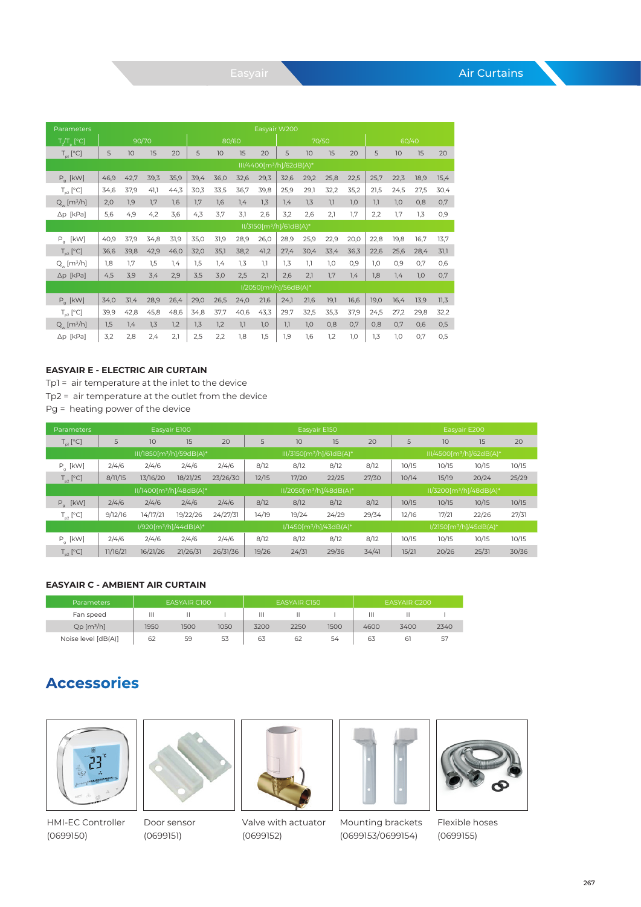| Parameters                  |      |       |      |      |      |      |       |      | Easyair W200                         |      |       |      |      |      |       |      |
|-----------------------------|------|-------|------|------|------|------|-------|------|--------------------------------------|------|-------|------|------|------|-------|------|
| $T/T$ <sub>n</sub> $[°C]$   |      | 90/70 |      |      |      |      | 80/60 |      |                                      |      | 70/50 |      |      |      | 60/40 |      |
| $T_{nl}$ [°C]               | 5    | 10    | 15   | 20   | 5    | 10   | 15    | 20   | 5                                    | 10   | 15    | 20   | 5    | 10   | 15    | 20   |
|                             |      |       |      |      |      |      |       |      | III/4400[m <sup>3</sup> /h]/62dB(A)* |      |       |      |      |      |       |      |
| $P_q$ [kW]                  | 46,9 | 42,7  | 39,3 | 35,9 | 39,4 | 36,0 | 32,6  | 29,3 | 32,6                                 | 29,2 | 25,8  | 22,5 | 25,7 | 22,3 | 18,9  | 15,4 |
| $T_{02}$ [°C]               | 34,6 | 37,9  | 41,1 | 44,3 | 30,3 | 33,5 | 36,7  | 39,8 | 25,9                                 | 29,1 | 32,2  | 35,2 | 21,5 | 24,5 | 27,5  | 30,4 |
| $Q_w$ [m <sup>3</sup> /h]   | 2,0  | 1,9   | 1,7  | 1.6  | 1,7  | 1,6  | 1,4   | 1,3  | 1,4                                  | 1,3  | 1,1   | 1,0  | 1,1  | 1,0  | 0,8   | 0,7  |
| $\Delta p$ [kPa]            | 5,6  | 4,9   | 4,2  | 3,6  | 4,3  | 3,7  | 3,1   | 2,6  | 3,2                                  | 2,6  | 2,1   | 1,7  | 2,2  | 1,7  | 1,3   | 0,9  |
|                             |      |       |      |      |      |      |       |      | II/3150[m <sup>3</sup> /h]/61dB(A)*  |      |       |      |      |      |       |      |
| $P_a$ [kW]                  | 40,9 | 37,9  | 34,8 | 31,9 | 35,0 | 31,9 | 28,9  | 26,0 | 28,9                                 | 25,9 | 22,9  | 20,0 | 22,8 | 19,8 | 16,7  | 13,7 |
| $T_{p2}$ [°C]               | 36,6 | 39,8  | 42,9 | 46,0 | 32,0 | 35,1 | 38,2  | 41,2 | 27,4                                 | 30,4 | 33,4  | 36,3 | 22,6 | 25,6 | 28,4  | 31,1 |
| $Q_w$ [m <sup>3</sup> /h]   | 1,8  | 1.7   | 1,5  | 1,4  | 1,5  | 1,4  | 1,3   | 1.1  | 1,3                                  | 1,1  | 1,0   | 0,9  | 1,0  | 0,9  | 0.7   | 0,6  |
| $\Delta p$ [kPa]            | 4,5  | 3,9   | 3,4  | 2,9  | 3,5  | 3,0  | 2,5   | 2,1  | 2,6                                  | 2,1  | 1,7   | 1,4  | 1,8  | 7,4  | 1,0   | 0,7  |
|                             |      |       |      |      |      |      |       |      | I/2050[m <sup>3</sup> /h]/56dB(A)*   |      |       |      |      |      |       |      |
| $P_a$ [kW]                  | 34,0 | 31,4  | 28,9 | 26,4 | 29,0 | 26,5 | 24,0  | 21,6 | 24,1                                 | 21,6 | 19,1  | 16,6 | 19,0 | 16,4 | 13,9  | 11,3 |
| $T_{n2}$ [°C]               | 39,9 | 42,8  | 45,8 | 48,6 | 34,8 | 37,7 | 40,6  | 43,3 | 29,7                                 | 32,5 | 35,3  | 37,9 | 24,5 | 27,2 | 29,8  | 32,2 |
| $Q_{w}$ [m <sup>3</sup> /h] | 1,5  | 1,4   | 1,3  | 1,2  | 1,3  | 1,2  | 1,1   | 1,0  | 1,1                                  | 1,0  | 0,8   | 0,7  | 0,8  | O,7  | 0,6   | 0,5  |
| $\Delta p$ [kPa]            | 3,2  | 2,8   | 2,4  | 2,1  | 2,5  | 2,2  | 1,8   | 1,5  | 1,9                                  | 1,6  | 1,2   | 1,0  | 1,3  | 1,0  | 0,7   | 0,5  |

#### **EASYAIR E - ELECTRIC AIR CURTAIN**

Tp1 = air temperature at the inlet to the device Tp2 = air temperature at the outlet from the device Pg = heating power of the device

| <b>Parameters</b> |          |                                      | Easyair E100                      |          |       |       | Easyair E150                         |       |       |                                        | Easyair E200                       |       |
|-------------------|----------|--------------------------------------|-----------------------------------|----------|-------|-------|--------------------------------------|-------|-------|----------------------------------------|------------------------------------|-------|
| $T_{nl}$ [°C]     | 5        | 10                                   | 15                                | 20       | 5     | 10    | 15                                   | 20    | 5     | 10                                     | 15                                 | 20    |
|                   |          | III/1850[m <sup>3</sup> /h]/59dB(A)* |                                   |          |       |       | III/3150[m <sup>3</sup> /h]/61dB(A)* |       |       | III/4500[m <sup>3</sup> /h]/62dB(A)*   |                                    |       |
| $P_a$ [kW]        | 2/4/6    | 2/4/6                                | 2/4/6                             | 2/4/6    | 8/12  | 8/12  | 8/12                                 | 8/12  | 10/15 | 10/15                                  | 10/15                              | 10/15 |
| $T_{p2}$ [°C]     | 8/11/15  | 13/16/20                             | 18/21/25                          | 23/26/30 | 12/15 | 17/20 | 22/25                                | 27/30 | 10/14 | 15/19                                  | 20/24                              | 25/29 |
|                   |          | II/1400[m <sup>3</sup> /h]/48dB(A)*  |                                   |          |       |       | II/2050[m <sup>3</sup> /h]/48dB(A)*  |       |       | $11/3200$ [m <sup>3</sup> /h]/48dB(A)* |                                    |       |
| $P_a$ [kW]        | 2/4/6    | 2/4/6                                | 2/4/6                             | 2/4/6    | 8/12  | 8/12  | 8/12                                 | 8/12  | 10/15 | 10/15                                  | 10/15                              | 10/15 |
| $T_{p2}$ [°C]     | 9/12/16  | 14/17/21                             | 19/22/26                          | 24/27/31 | 14/19 | 19/24 | 24/29                                | 29/34 | 12/16 | 17/21                                  | 22/26                              | 27/31 |
|                   |          |                                      | I/920[m <sup>3</sup> /h]/44dB(A)* |          |       |       | I/1450[m <sup>3</sup> /h]/43dB(A)*   |       |       |                                        | I/2150[m <sup>3</sup> /h]/45dB(A)* |       |
| $P_a$ [kW]        | 2/4/6    | 2/4/6                                | 2/4/6                             | 2/4/6    | 8/12  | 8/12  | 8/12                                 | 8/12  | 10/15 | 10/15                                  | 10/15                              | 10/15 |
| $T_{n2}$ [°C]     | 11/16/21 | 16/21/26                             | 21/26/31                          | 26/31/36 | 19/26 | 24/31 | 29/36                                | 34/41 | 15/21 | 20/26                                  | 25/31                              | 30/36 |

#### **EASYAIR C - AMBIENT AIR CURTAIN**

| <b>Parameters</b>        | EASYAIR C100 |      |      |      | <b>EASYAIR C150</b> |      | EASYAIR C200 |      |      |  |
|--------------------------|--------------|------|------|------|---------------------|------|--------------|------|------|--|
| Fan speed                | Ш            |      |      | Ш    |                     |      | Ш            |      |      |  |
| $Qp$ [m <sup>3</sup> /h] | 1950         | 1500 | 1050 | 3200 | 2250                | 1500 | 4600         | 3400 | 2340 |  |
| Noise level [dB(A)]      | 62           | 59   | 53   | 63   | 62                  | 54   | 63           | ы    | 57   |  |

## **Accessories**













Door sensor (0699151)

Valve with actuator (0699152)

Mounting brackets (0699153/0699154)

Flexible hoses (0699155)